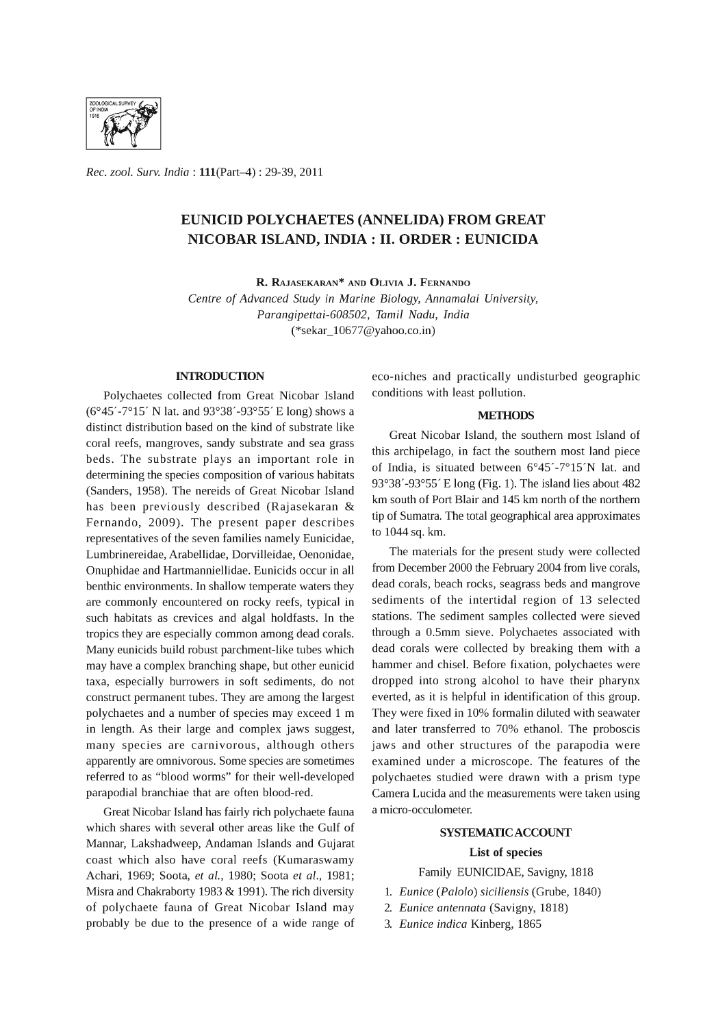

*Rec. zool. Surv. India:* l11(Part-4) : 29-39, 2011

## EUNICID POLYCHAETES (ANNELIDA) FROM GREAT NICOBAR ISLAND, **INDIA: II.** ORDER: EUNICIDA

R. RAJASEKARAN\* AND OLIVIA J. FERNANDO

*Centre* of *Advanced Study in Marine Biology, Annamalai University, Parangipettai-608502, Tamil Nadu, India*  (\*sekar\_l0677@yahoo.co.in)

## **INTRODUCTION**

Polychaetes collected from Great Nicobar Island (6°45' -7°15' N lat. and 93°38'-93°55' E long) shows a distinct distribution based on the kind of substrate like coral reefs, mangroves, sandy substrate and sea grass beds. The substrate plays an important role in determining the species composition of various habitats (Sanders, 1958). The nereids of Great Nicobar Island has been previously described (Rajasekaran & Fernando, 2009). The present paper describes representatives of the seven families namely Eunicidae, Lumbrinereidae, Arabellidae, Dorvilleidae, Oenonidae, Onuphidae and Hartmanniellidae. Eunicids occur in all benthic environments. In shallow temperate waters they are commonly encountered on rocky reefs, typical in such habitats as crevices and algal holdfasts. In the tropics they are especially common among dead corals. Many eunicids build robust parchment-like tubes which may have a complex branching shape, but other eunicid taxa, especially burrowers in soft sediments, do not construct permanent tubes. They are among the largest polychaetes and a number of species may exceed 1 m in length. As their large and complex jaws suggest, many species are carnivorous, although others apparently are omnivorous. Some species are sometimes referred to as "blood worms" for their well-developed parapodial branchiae that are often blood-red.

Great Nicobar Island has fairly rich polychaete fauna which shares with several other areas like the Gulf of Mannar, Lakshadweep, Andaman Islands and Gujarat coast which also have coral reefs (Kumaraswamy Achari, 1969; Soota, *et al.,* 1980; Soota *et al., 1981;*  Misra and Chakraborty 1983 & 1991). The rich diversity of polychaete fauna of Great Nicobar Island may probably be due to the presence of a wide range of

eco-niches and practically undisturbed geographic conditions with least pollution.

#### **METHODS**

Great Nicobar Island, the southern most Island of this archipelago, in fact the southern most land piece of India, is situated between 6°45' -7°15'N lat. and 93°38' -93°55' E long (Fig. 1). The island lies about 482 km south of Port Blair and 145 km north of the northern tip of Sumatra. The total geographical area approximates to 1044 sq. km.

The materials for the present study were collected from December 2000 the February 2004 from live corals, dead corals, beach rocks, seagrass beds and mangrove sediments of the intertidal region of 13 selected stations. The sediment samples collected were sieved through a 0.5mm sieve. Polychaetes associated with dead corals were collected by breaking them with a hammer and chisel. Before fixation, polychaetes were dropped into strong alcohol to have their pharynx everted, as it is helpful in identification of this group. They were fixed in 10% formalin diluted with seawater and later transferred to 70% ethanol. The proboscis jaws and other structures of the parapodia were examined under a microscope. The features of the polychaetes studied were drawn with a prism type Camera Lucida and the measurements were taken using a micro-occulometer.

# SYSTEMATIC ACCOUNT

## List of species

Family EUNICIDAE, Savigny, 1818

- 1. *Eunice (Palolo) siciliensis* (Grube, 1840)
- *2. Eunice antennata* (Savigny, 1818)
- *3. Eunice indica* Kinberg, 1865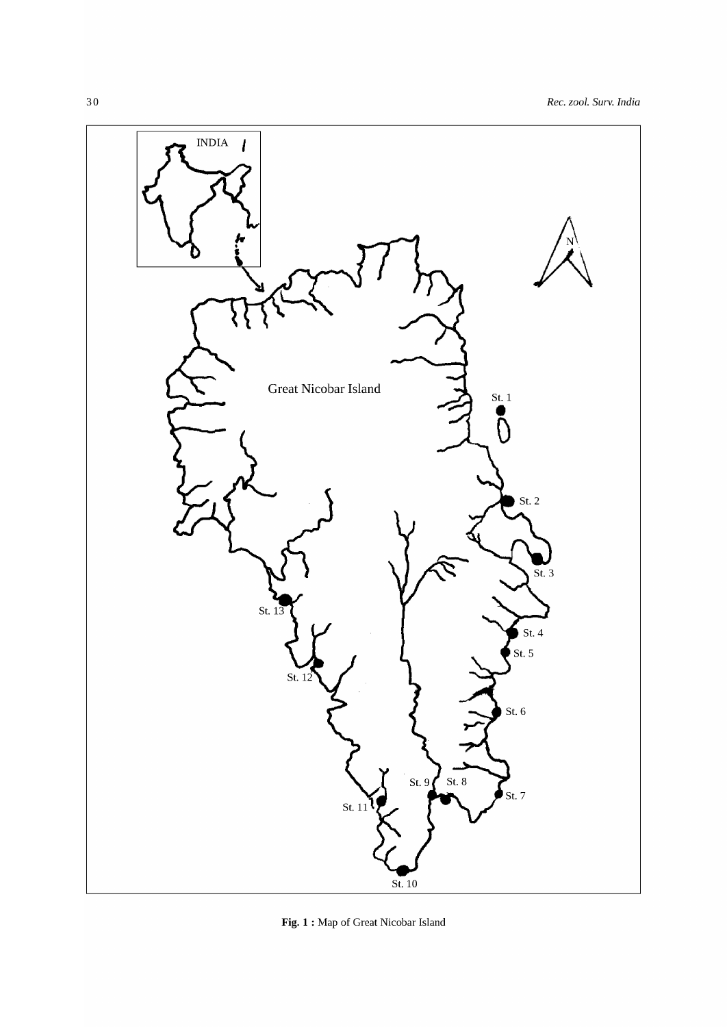

**Fig. 1** : Map of Great Nicobar Island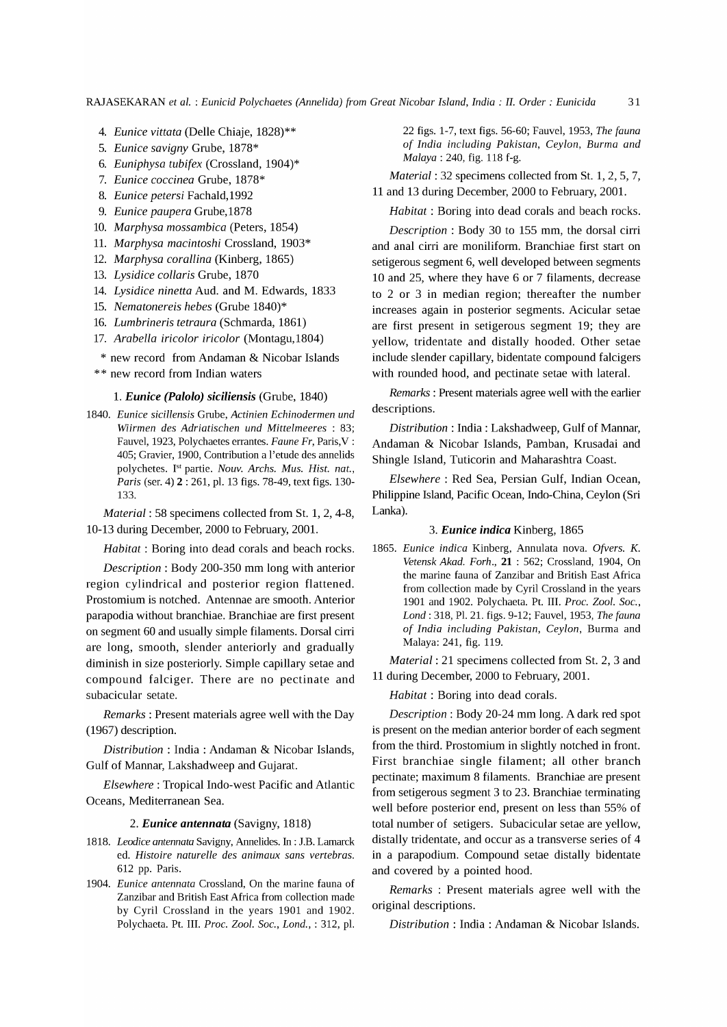RAJASEKARAN *et al.* : *Eunicid Polychaetes (Annelida) from Great Nicobar Island, India: II. Order: Eunicida 31* 

- *4. Eunice vittata* (Delle Chiaje, 1828)\*\*
- *5. Eunice savigny* Grube, 1878\*
- *6. Euniphysa tubifex* (Crossland, 1904)\*
- *7. Eunice coccinea* Grube, 1878\*
- *8. Eunice petersi* Fachald,1992
- *9. Eunice paupera* Grube,1878
- *10. Marphysa mossambica* (Peters, 1854)
- 11. *Marphysa macintoshi* Crossland, 1903\*
- *12. Marphysa corallina* (Kinberg, 1865)
- *13. Lysidice collaris* Grube, 1870
- *14. Lysidice ninetta* Aud. and M. Edwards, 1833
- *15. Nematonereis hebes* (Grube 1840)\*
- *16. Lumbrineris tetraura* (Schmarda, 1861)
- *17. Arabella iricolor iricolor* (Montagu,1804)
- \* new record from Andaman & Nicobar Islands
- \*\* new record from Indian waters

#### 1. *Eunice (Palolo) siciliensis* (Grube, 1840)

*1840. Eunice sicillensis* Grube, *Actinien Echinodermen und Wiirmen des Adriatischen und Mittelmeeres* : 83; Fauvel, 1923, Polychaetes errantes. *Faune Fr,* Paris, V : 405; Gravier, 1900, Contribution a l'etude des annelids polychetes. I<sup>st</sup> partie. *Nouv. Archs. Mus. Hist. nat.*, *Paris* (ser. 4) 2 : 261, pI. 13 figs. 78-49, text figs. 130- 133.

*Material:* 58 specimens collected from St. 1, 2, 4-8, 10-13 during December, 2000 to February, 2001.

*Habitat:* Boring into dead corals and beach rocks.

*Description:* Body 200-350 mm long with anterior region cylindrical and posterior region flattened. Prostomium is notched. Antennae are smooth. Anterior parapodia without branchiae. Branchiae are first present on segment 60 and usually simple filaments. Dorsal cirri are long, smooth, slender anteriorly and gradually diminish in size posteriorly. Simple capillary setae and compound falciger. There are no pectinate and subacicular setate.

*Remarks:* Present materials agree well with the Day (1967) description.

*Distribution:* India: Andaman & Nicobar Islands, Gulf of Mannar, Lakshadweep and Gujarat.

*Elsewhere:* Tropical Indo-west Pacific and Atlantic Oceans, Mediterranean Sea.

#### *2. Eunice antennata* (Savigny, 1818)

- 1818. Leodice antennata Savigny, Annelides. In: J.B. Lamarck ed. *Ristoire naturelle des animaux sans vertebras.*  612 pp. Paris.
- *1904. Eunice antennata* Crossland, On the marine fauna of Zanzibar and British East Africa from collection made by Cyril Crossland in the years 1901 and 1902. Polychaeta. Pt. III. *Proc. Zoo1. Soc., Lond.,* : 312, pI.

22 figs. 1-7, text figs. 56-60; Fauvel, 1953, *The fauna of India including Pakistan, Ceylon, Burma and Malaya:* 240, fig. 118 f-g.

*Material:* 32 specimens collected from St. 1, 2, 5, 7, 11 and 13 during December, 2000 to February, 200l.

*Habitat:* Boring into dead corals and beach rocks.

*Description* : Body 30 to 155 mm, the dorsal cirri and anal cirri are moniliform. Branchiae first start on setigerous segment 6, well developed between segments 10 and 25, where they have 6 or 7 filaments, decrease to 2 or 3 in median region; thereafter the number increases again in posterior segments. Acicular setae are first present in setigerous segment 19; they are yellow, tridentate and distally hooded. Other setae include slender capillary, bidentate compound falcigers with rounded hood, and pectinate setae with lateral.

*Remarks:* Present materials agree well with the earlier descriptions.

*Distribution:* India: Lakshadweep, Gulf of Mannar, Andaman & Nicobar Islands, Pamban, Krusadai and Shingle Island, Tuticorin and Maharashtra Coast.

*Elsewhere:* Red Sea, Persian Gulf, Indian Ocean, Philippine Island, Pacific Ocean, Indo-China, Ceylon (Sri Lanka).

#### *3. Eunice indica* Kinberg, 1865

*1865. Eunice indica* Kinberg, Annulata nova. *Ofvers. K. Vetensk Akad. Forh.,* 21 : 562; Crossland, 1904, On the marine fauna of Zanzibar and British East Africa from collection made by Cyril Crossland in the years 1901 and 1902. Polychaeta. Pt. III. *Proc. Zoo1. Soc., Lond:* 318, PI. 21. figs. 9-12; Fauvel, 1953, *The fauna of India including Pakistan, Ceylon,* Burma and Malaya: 241, fig. 119.

*Material:* 21 specimens collected from St. 2, 3 and 11 during December, 2000 to February, 200l.

*Habitat:* Boring into dead corals.

*Description:* Body 20-24 mm long. A dark red spot is present on the median anterior border of each segment from the third. Prostomium in slightly notched in front. First branchiae single filament; all other branch pectinate; maximum 8 filaments. Branchiae are present from setigerous segment 3 to 23. Branchiae terminating well before posterior end, present on less than 55% of total number of setigers. Subacicular setae are yellow, distally tridentate, and occur as a transverse series of 4 in a parapodium. Compound setae distally bidentate and covered by a pointed hood.

*Remarks* : Present materials agree well with the original descriptions.

*Distribution:* India: Andaman & Nicobar Islands.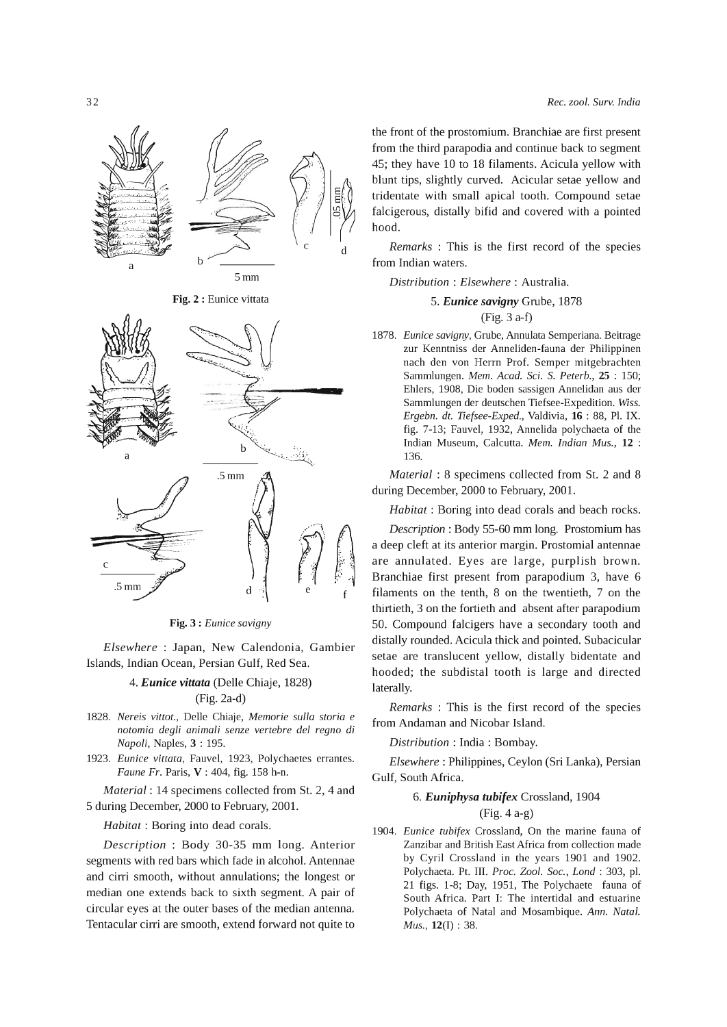

Fig. 2 : Eunice vittata



Fig. 3 : *Eunice savigny* 

*Elsewhere* : Japan, New Calendonia, Gambier Islands, Indian Ocean, Persian Gulf, Red Sea.

## *4. Eunice vittata* (Delle Chiaje, 1828) (Fig.2a-d)

- *1828. Nereis vittot.,* Delle Chiaje, *Memorie sulla storia* e *notomia degli animali senze vertebre del regno di Napoli,* Naples, 3 : 195.
- *1923. Eunice vittata,* Fauvel, 1923, Polychaetes errantes. *Faune Fr.* Paris, V : 404, fig. 158 h-n.

*Material:* 14 specimens collected from St. 2, 4 and 5 during December, 2000 to February, 2001.

*Habitat:* Boring into dead corals.

*Description* : Body 30-35 mm long. Anterior segments with red bars which fade in alcohol. Antennae and cirri smooth, without annulations; the longest or median one extends back to sixth segment. A pair of circular eyes at the outer bases of the median antenna. Tentacular cirri are smooth, extend forward not quite to the front of the prostomium. Branchiae are first present from the third parapodia and continue back to segment 45; they have 10 to 18 filaments. Acicula yellow with blunt tips, slightly curved. Acicular setae yellow and tridentate with small apical tooth. Compound setae falcigerous, distally bifid and covered with a pointed hood.

*Remarks* : This is the first record of the species from Indian waters.

*Distribution: Elsewhere:* Australia.

*5. Eunice savigny* Grube, 1878

(Fig. 3 a-f)

*1878. Eunice savigny,* Grube, Annulata Semperiana. Beitrage zur Kenntniss der Anneliden-fauna der Philippinen nach den von Herrn Prof. Semper mitgebrachten Sammlungen. *Mem. Acad.* Sci. S. *Peterb.,* 25 : 150; Ehlers, 1908, Die boden sassigen Annelidan aus der Sammlungen der deutschen Tiefsee-Expedition. Wiss. *Ergebn. dt. Tiefsee-Exped.,* Valdivia, 16 : 88, PI. IX. fig. 7-13; Fauvel, 1932, Annelida polychaeta of the Indian Museum, Calcutta. *Mem. Indian Mus.,* 12 : 136.

*Material:* 8 specimens collected from St. 2 and 8 during December, 2000 to February, 2001.

*Habitat:* Boring into dead corals and beach rocks.

*Description* : Body 55-60 mm long. Prostomium has a deep cleft at its anterior margin. Prostomial antennae are annulated. Eyes are large, purplish brown. Branchiae first present from parapodium 3, have 6 filaments on the tenth, 8 on the twentieth, 7 on the thirtieth, 3 on the fortieth and absent after parapodium 50. Compound falcigers have a secondary tooth and distally rounded. Acicula thick and pointed. Subacicular setae are translucent yellow, distally bidentate and hooded; the subdistal tooth is large and directed laterally.

*Remarks* : This is the first record of the species from Andaman and Nicobar Island.

*Distribution* : India: Bombay.

*Elsewhere:* Philippines, Ceylon (Sri Lanka), Persian Gulf, South Africa.

#### *6. Euniphysa tubifex* Crossland, 1904

## (Fig. 4 a-g)

*1904. Eunice tubifex* Crossland, On the marine fauna of Zanzibar and British East Africa from collection made by Cyril Crossland in the years 1901 and 1902. Polychaeta. Pt. III. *Proc. Zoo1. Soc., Lond* : 303, pI. 21 figs. 1-8; Day, 1951, The Polychaete fauna of South Africa. Part I: The intertidal and estuarine Polychaeta of Natal and Mosambique. *Ann. Natal. Mus.,* 12(1) : 38.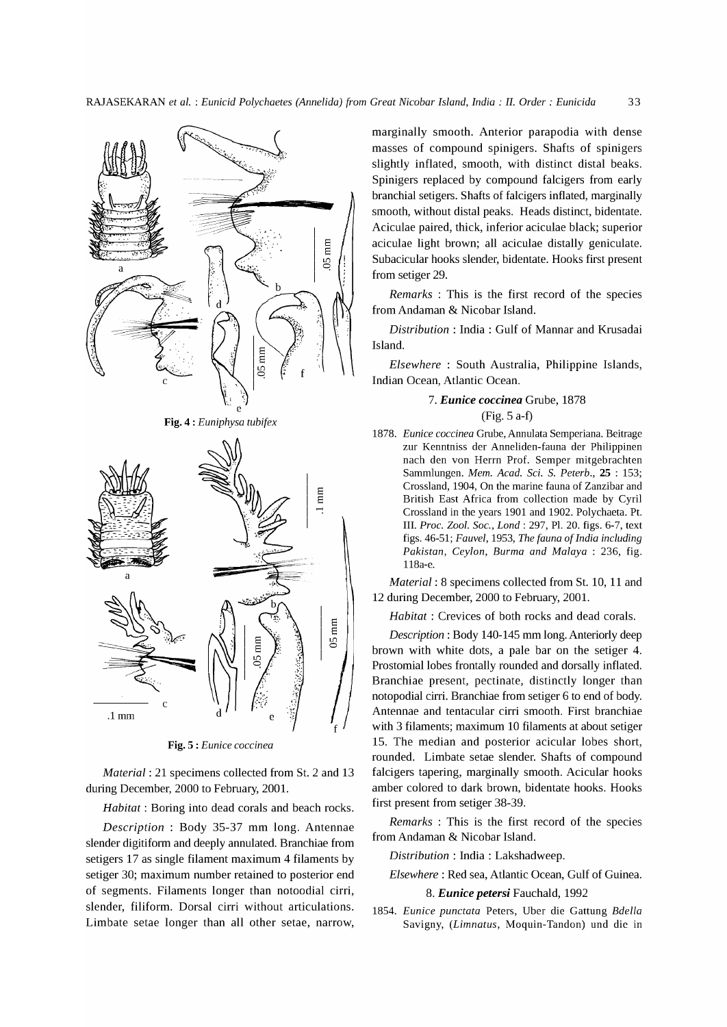

Fig. 5 : *Eunice coccinea* 

.1mm

c

*Material:* 21 specimens collected from St. 2 and 13 during December, 2000 to February, 200l.

*Habitat:* Boring into dead corals and beach rocks.

*Description* : Body 35-37 mm long. Antennae slender digitiform and deeply annulated. Branchiae from setigers 17 as single filament maximum 4 filaments by setiger 30; maximum number retained to posterior end of segments. Filaments longer than notoodial cirri, slender, filiform. Dorsal cirri without articulations. Limbate setae longer than all other setae, narrow, marginally smooth. Anterior parapodia with dense masses of compound spinigers. Shafts of spinigers slightly inflated, smooth, with distinct distal beaks. Spinigers replaced by compound falcigers from early branchial setigers. Shafts of falcigers inflated, marginally smooth, without distal peaks. Heads distinct, bidentate. Aciculae paired, thick, inferior aciculae black; superior aciculae light brown; all aciculae distally geniculate. Subacicular hooks slender, bidentate. Hooks first present from setiger 29.

*Remarks* : This is the first record of the species from Andaman & Nicobar Island.

*Distribution* : India: Gulf of Mannar and Krusadai Island.

*Elsewhere* : South Australia, Philippine Islands, Indian Ocean, Atlantic Ocean.

## *7. Eunice coccinea* Grube, 1878 (Fig. 5 a-f)

*1878. Eunice coccinea* Grube, Annulata Semperiana. Beitrage zur Kenntniss der Anneliden-fauna der Philippinen nach den von Herrn Prof. Semper mitgebrachten Sammlungen. *Mem. Acad.* Sci. S. *Peterb.,* 25 : 153; Crossland, 1904, On the marine fauna of Zanzibar and British East Africa from collection made by Cyril Crossland in the years 1901 and 1902. Polychaeta. Pt. III. *Proc. Zoo1. Soc., Lond* : 297, PI. 20. figs. 6-7, text figs. 46-51; *Fauvel,* 1953, *The fauna of India including Pakistan, Ceylon, Burma and Malaya* : 236, fig. 118a-e.

*Material:* 8 specimens collected from St. 10, 11 and 12 during December, 2000 to February, 200l.

*Habitat* : Crevices of both rocks and dead corals.

*Description:* Body 140-145 mm long. Anteriorly deep brown with white dots, a pale bar on the setiger 4. Prostomial lobes frontally rounded and dorsally inflated. Branchiae present, pectinate, distinctly longer than notopodial cirri. Branchiae from setiger 6 to end of body. Antennae and tentacular cirri smooth. First branchiae with 3 filaments; maximum 10 filaments at about setiger 15. The median and posterior acicular lobes short, rounded. Limbate setae slender. Shafts of compound falcigers tapering, marginally smooth. Acicular hooks amber colored to dark brown, bidentate hooks. Hooks first present from setiger 38-39.

*Remarks* : This is the first record of the species from Andaman & Nicobar Island.

*Distribution:* India: Lakshadweep.

*Elsewhere:* Red sea, Atlantic Ocean, Gulf of Guinea.

#### *8. Eunice peters;* Fauchald, 1992

*1854. Eunice punctata* Peters, Uber die Gattung *Bdella*  Savigny, *(Limnatus,* Moquin-Tandon) und die in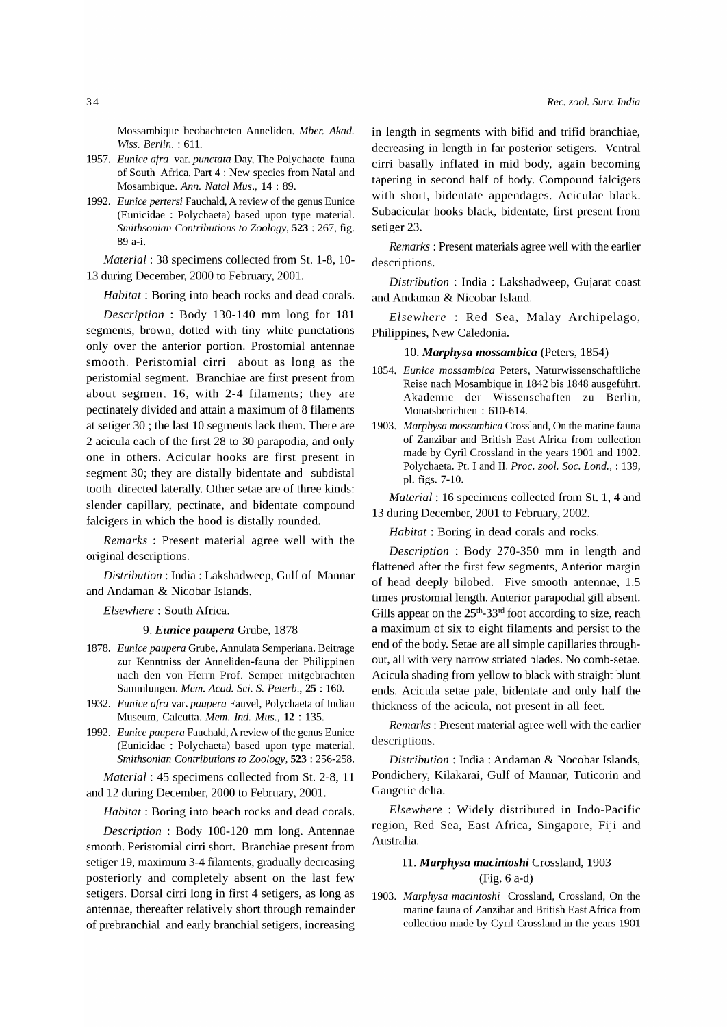Mossambique beobachteten Anneliden. *Mber. Akad. Wiss. Berlin,* : 61l.

- *1957. Eunice arra* var. *punctata* Day, The Polychaete fauna of South Africa. Part 4: New species from Natal and Mosambique. *Ann. Natal Mus.,* **14** : 89.
- *1992. Eunice pertersi* Fauchald, A review of the genus Eunice (Eunicidae : Polychaeta) based upon type material. *Smithsonian Contributions to Zoology,* 523 : 267, fig. 89 a-i.

*Material:* 38 specimens collected from St. 1-8, 10- 13 during December, 2000 to February, 200l.

*Habitat:* Boring into beach rocks and dead corals.

*Description* : Body 130-140 mm long for 181 segments, brown, dotted with tiny white punctations only over the anterior portion. Prostomial antennae smooth. Peristomial cirri about as long as the peristomial segment. Branchiae are first present from about segment 16, with 2-4 filaments; they are pectinately divided and attain a maximum of 8 filaments at setiger 30 ; the last 10 segments lack them. There are 2 acicula each of the first 28 to 30 parapodia, and only one in others. Acicular hooks are first present in segment 30; they are distally bidentate and subdistal tooth directed laterally. Other setae are of three kinds: slender capillary, pectinate, and bidentate compound falcigers in which the hood is distally rounded.

*Remarks* : Present material agree well with the original descriptions.

*Distribution:* India: Lakshadweep, Gulf of Mannar and Andaman & Nicobar Islands.

*Elsewhere:* South Africa.

#### 9. *Eunice paupera* Grube, 1878

- *1878. Eunice paupera* Grube, Annulata Semperiana. Beitrage zur Kenntniss der Anneliden-fauna der Philippinen nach den von Herrn Prof. Semper mitgebrachten Sammlungen. *Mem. Acad.* Sci. S. *Peterb.,* 25 : 160.
- *1932. Eunice arra* var. *paupera* Fauvel, Polychaeta of Indian Museum, Calcutta. *Mem. Ind. Mus.,* **12** : 135.
- *1992. Eunice paupera* Fauchald, A review of the genus Eunice (Eunicidae : Polychaeta) based upon type material. *Smithsonian Contributions to Zoology,* 523 : 256-258.

*Material:* 45 specimens collected from St. 2-8, 11 and 12 during December, 2000 to February, 2001.

*Habitat:* Boring into beach rocks and dead corals.

*Description* : Body 100-120 mm long. Antennae smooth. Peristomial cirri short. Branchiae present from setiger 19, maximum 3-4 filaments, gradually decreasing posteriorly and completely absent on the last few setigers. Dorsal cirri long in first 4 setigers, as long as antennae, thereafter relatively short through remainder of prebranchial and early branchial setigers, increasing in length in segments with bifid and trifid branchiae, decreasing in length in far posterior setigers. Ventral cirri basally inflated in mid body, again becoming tapering in second half of body. Compound falcigers with short, bidentate appendages. Aciculae black. Subacicular hooks black, bidentate, first present from setiger 23.

*Remarks* : Present materials agree well with the earlier descriptions.

*Distribution* : India : Lakshadweep, Gujarat coast and Andaman & Nicobar Island.

*Elsewhere* : Red Sea, Malay Archipelago, Philippines, New Caledonia.

#### *10. Marphysa mossambica* (Peters, 1854)

- *1854. Eunice mossambica* Peters, Naturwissenschaftliche Reise nach Mosambique in 1842 bis 1848 ausgeführt. Akademie der Wissenschaften zu Berlin, Monatsberichten : 610-614.
- *1903. Marphysa mossambica* Crossland, On the marine fauna of Zanzibar and British East Africa from collection made by Cyril Crossland in the years 1901 and 1902. Polychaeta. Pt. I and II. *Proc. zool. Soc. Lond.,* : 139, pI. figs. 7-10.

*Material:* 16 specimens collected from St. 1, 4 and 13 during December, 2001 to February, 2002.

*Habitat:* Boring in dead corals and rocks.

*Description* : Body 270-350 mm in length and flattened after the first few segments, Anterior margin of head deeply bilobed. Five smooth antennae, 1.5 times prostomial length. Anterior parapodial gill absent. Gills appear on the  $25<sup>th</sup>-33<sup>rd</sup>$  foot according to size, reach a maximum of six to eight filaments and persist to the end of the body. Setae are all simple capillaries throughout, all with very narrow striated blades. No comb-setae. Acicula shading from yellow to black with straight blunt ends. Acicula setae pale, bidentate and only half the thickness of the acicula, not present in all feet.

*Remarks:* Present material agree well with the earlier descriptions.

*Distribution:* India: Andaman & Nocobar Islands, Pondichery, Kilakarai, Gulf of Mannar, Tuticorin and Gangetic delta.

*Elsewhere* : Widely distributed in Indo-Pacific region, Red Sea, East Africa, Singapore, Fiji and Australia.

## 11. *Marphysa macintoshi* Crossland, 1903 (Fig. 6 a-d)

*1903. Marphysa macintoshi* Crossland, Crossland, On the marine fauna of Zanzibar and British East Africa from collection made by Cyril Crossland in the years 1901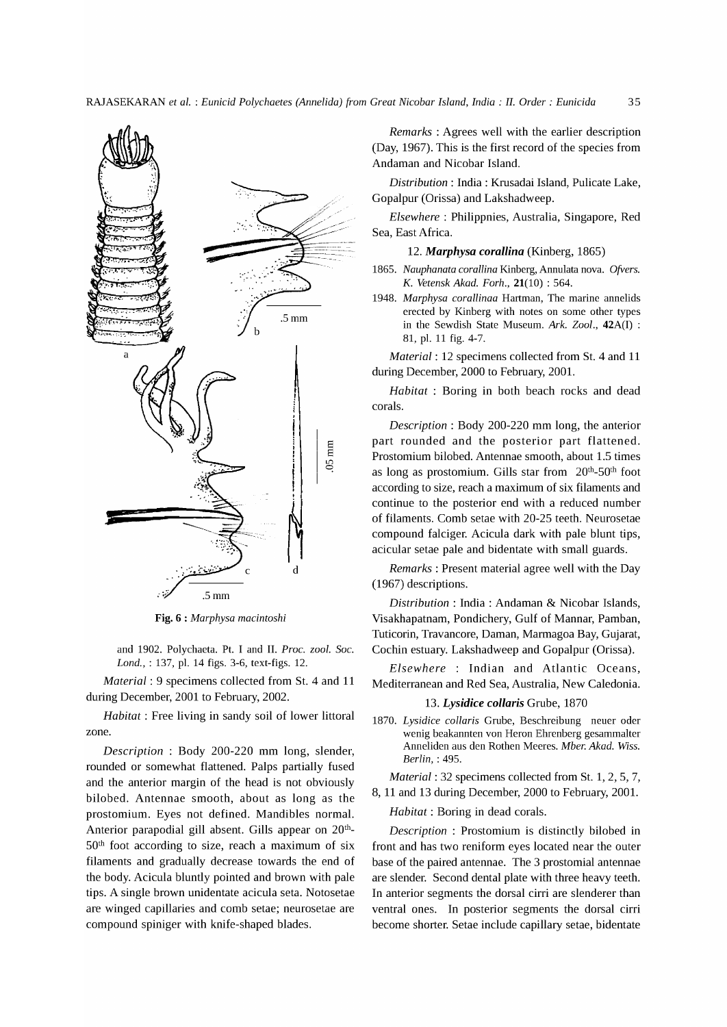

Fig. 6 : *Marphysa macintoshi* 

and 1902. Polychaeta. Pt. I and II. *Proc. zool. Soc. Lond.,* : 137, pI. 14 figs. 3-6, text-figs. 12.

*Material:* 9 specimens collected from St. 4 and 11 during December, 2001 to February, 2002.

*Habitat:* Free living in sandy soil of lower littoral zone.

*Description* : Body 200-220 mm long, slender, rounded or somewhat flattened. Palps partially fused and the anterior margin of the head is not obviously bilobed. Antennae smooth, about as long as the prostomium. Eyes not defined. Mandibles normal. Anterior parapodial gill absent. Gills appear on 20<sup>th</sup>- $50<sup>th</sup>$  foot according to size, reach a maximum of six filaments and gradually decrease towards the end of the body. Acicula bluntly pointed and brown with pale tips. A single brown unidentate acicula seta. Notosetae are winged capillaries and comb setae; neurosetae are compound spiniger with knife-shaped blades.

*Remarks* : Agrees well with the earlier description (Day, 1967). This is the first record of the species from Andaman and Nicobar Island.

*Distribution:* India: Krusadai Island, Pulicate Lake, Gopalpur (Orissa) and Lakshadweep.

*Elsewhere:* Philippnies, Australia, Singapore, Red Sea, East Africa.

*12. Marphysa corallina* (Kinberg, 1865)

- *1865. Nauphanata corallina* Kinberg, Annulata nova. *Ofvers. K. Vetensk Akad. Forh.,* 21(10) : 564.
- *1948. Marphysa corallinaa* Hartman, The marine annelids erected by Kinberg with notes on some other types in the Sewdish State Museum. *Ark. Zoo1.,* 42A(I) : 81, pI. 11 fig. 4-7.

*Material:* 12 specimens collected from St. 4 and 11 during December, 2000 to February, 200l.

*Habitat* : Boring in both beach rocks and dead corals.

*Description* : Body 200-220 mm long, the anterior part rounded and the posterior part flattened. Prostomium bilobed. Antennae smooth, about 1.5 times as long as prostomium. Gills star from  $20<sup>th</sup>$ -50<sup>th</sup> foot according to size, reach a maximum of six filaments and continue to the posterior end with a reduced number of filaments. Comb setae with 20-25 teeth. Neurosetae compound falciger. Acicula dark with pale blunt tips, acicular setae pale and bidentate with small guards.

*Remarks:* Present material agree well with the Day (1967) descriptions.

*Distribution:* India: Andaman & Nicobar Islands, Visakhapatnam, Pondichery, Gulf of Mannar, Pamban, Tuticorin, Travancore, Daman, Marmagoa Bay, Gujarat, Cochin estuary. Lakshadweep and Gopalpur (Orissa).

*Elsewhere* : Indian and Atlantic Oceans, Mediterranean and Red Sea, Australia, New Caledonia.

#### *13. Lysidice collaris* Grube, 1870

*1870. Lysidice collaris* Grube, Beschreibung neuer oder wenig beakannten von Heron Ehrenberg gesammalter Anneliden aus den Rothen Meeres. *Mber. Akad. Wiss. Berlin,* : 495.

*Material:* 32 specimens collected from St. 1, 2, 5, 7, 8, 11 and 13 during December, 2000 to February, 200l.

*Habitat:* Boring in dead corals.

*Description:* Prostomium is distinctly bilobed in front and has two reniform eyes located near the outer base of the paired antennae. The 3 prostomial antennae are slender. Second dental plate with three heavy teeth. In anterior segments the dorsal cirri are slenderer than ventral ones. In posterior segments the dorsal cirri become shorter. Setae include capillary setae, bidentate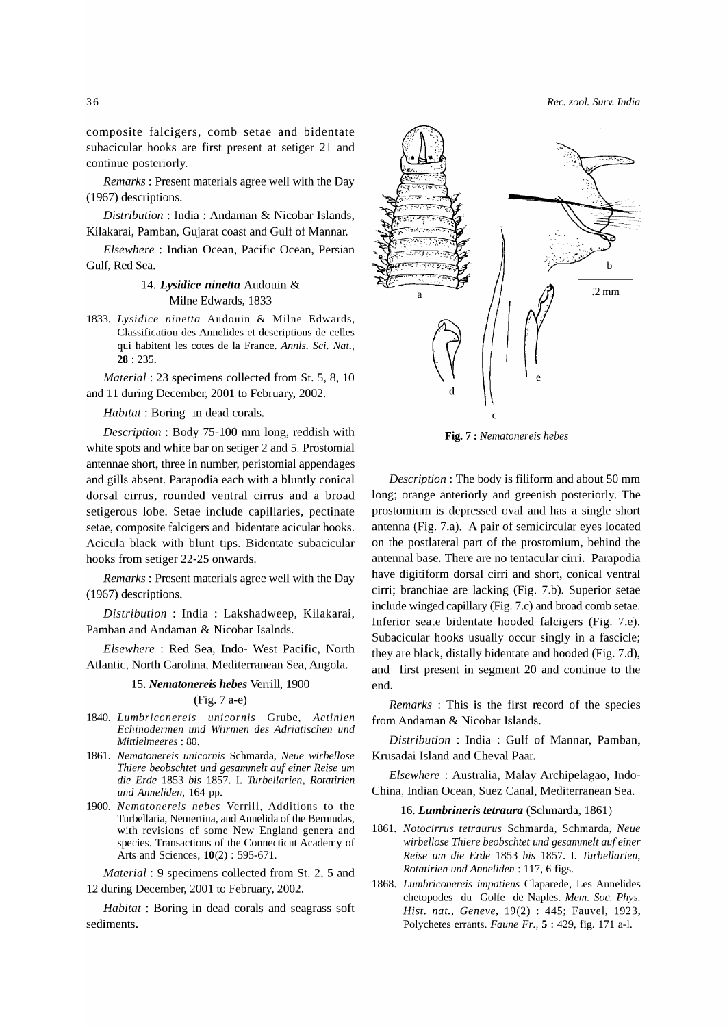composite falcigers, comb setae and bidentate subacicular hooks are first present at setiger 21 and continue posteriorly.

*Remarks:* Present materials agree well with the Day (1967) descriptions.

*Distribution:* India: Andaman & Nicobar Islands, Kilakarai, Pamban, Gujarat coast and Gulf of Mannar.

*Elsewhere:* Indian Ocean, Pacific Ocean, Persian Gulf, Red Sea.

## *14. Lysidice ninetta* Audouin & Milne Edwards, 1833

*1833. Lysidice ninetta* Audouin & Milne Edwards, Classification des Annelides et descriptions de celles qui habitent les cotes de la France. *AnnIs.* Sci. *Nat.,*  28 : 235.

*Material:* 23 specimens collected from St. 5, 8, 10 and 11 during December, 2001 to February, 2002.

*Habitat:* Boring in dead corals.

*Description:* Body 75-100 mm long, reddish with white spots and white bar on setiger 2 and 5. Prostomial antennae short, three in number, peristomial appendages and gills absent. Parapodia each with a bluntly conical dorsal cirrus, rounded ventral cirrus and a broad setigerous lobe. Setae include capillaries, pectinate setae, composite falcigers and bidentate acicular hooks. Acicula black with blunt tips. Bidentate subacicular hooks from setiger 22-25 onwards.

*Remarks:* Present materials agree well with the Day (1967) descriptions.

*Distribution* : India : Lakshadweep, Kilakarai, Pamban and Andaman & Nicobar Isalnds.

*Elsewhere:* Red Sea, Indo- West Pacific, North Atlantic, North Carolina, Mediterranean Sea, Angola.

#### *15. Nematonereis hebes* Verrill, 1900

## (Fig. 7 a-e)

- *1840. Lumbriconereis unicornis* Grube, *Actinien Echinodermen und Wiirmen des Adriatischen und MittIeImeeres* : 80.
- 1861. *Nematonereis unicornis* Schmarda, *Neue wirbellose Thiere beobschtet und gesammelt auf einer Reise* urn *die Erde* 1853 *bis* 1857. I. *Turbellarien, Rotatirien und Anneliden,* 164 pp.
- *1900. Nematonereis hebes* Verrill, Additions to the Turbellaria, Nemertina, and Annelida of the Bermudas, with revisions of some New England genera and species. Transactions of the Connecticut Academy of Arts and Sciences, 10(2) : 595-671.

*Material:* 9 specimens collected from St. 2, 5 and 12 during December, 2001 to February, 2002.

*Habitat:* Boring in dead corals and seagrass soft sediments.



Fig. 7 : *Nematonereis hebes* 

*Description* : The body is filiform and about 50 mm long; orange anteriorly and greenish posteriorly. The prostomium is depressed oval and has a single short antenna (Fig. 7.a). A pair of semicircular eyes located on the postlateral part of the prostomium, behind the antennal base. There are no tentacular cirri. Parapodia have digitiform dorsal cirri and short, conical ventral cirri; branchiae are lacking (Fig. 7.b). Superior setae include winged capillary (Fig. 7.c) and broad comb setae. Inferior seate bidentate hooded falcigers (Fig. 7.e). Subacicular hooks usually occur singly in a fascicle; they are black, distally bidentate and hooded (Fig. 7.d), and first present in segment 20 and continue to the end.

*Remarks* : This is the first record of the species from Andaman & Nicobar Islands.

*Distribution:* India: Gulf of Mannar, Pamban, Krusadai Island and Cheval Paar.

*Elsewhere* : Australia, Malay Archipelagao, Indo-China, Indian Ocean, Suez Canal, Mediterranean Sea.

#### *16. Lumbrineris tetraura* (Schmarda, 1861)

- 1861. *Notocirrus tetraurus* Schmarda, Schmarda, *Neue wirbellose Thiere beobschtet und gesammelt auf einer Reise* urn *die Erde* 1853 *bis* 1857. I. *Turbellarien, Rotatirien und Anneliden* : 117, 6 figs.
- *1868. Lumbriconereis impatiens* Claparede, Les Annelides chetopodes du Golfe de Naples. *Mem. Soc. Phys. Rist. nat., Geneve,* 19(2) : 445; Fauvel, 1923, Polychetes errants. *Faune Fr.,* 5 : 429, fig. 171 a-I.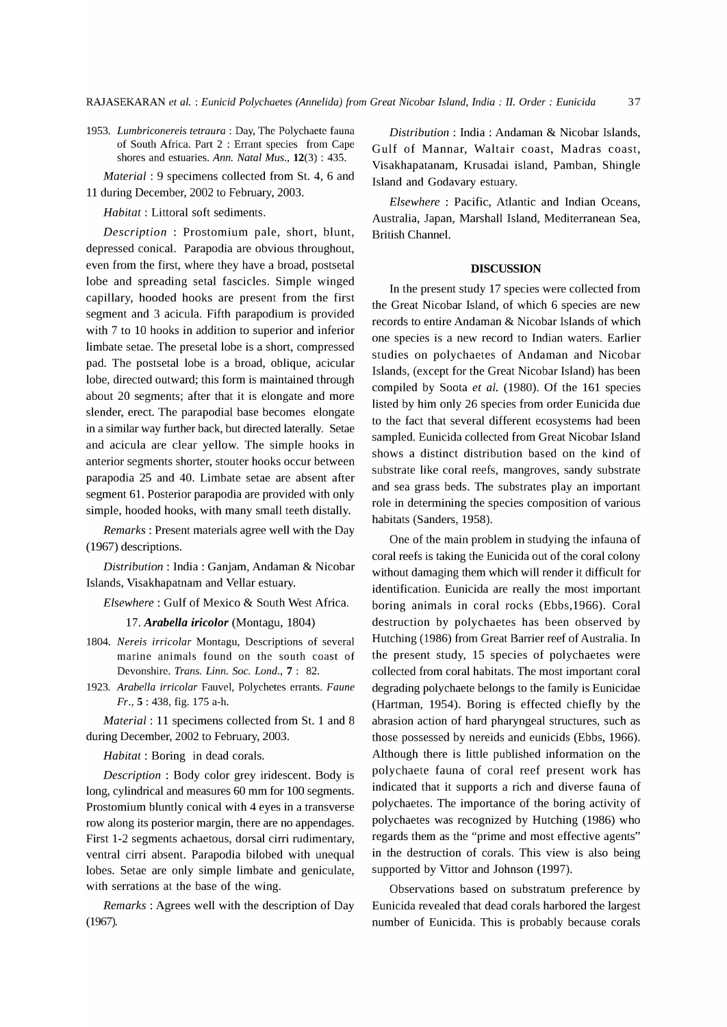*1953. Lumbriconereis tetraura* : Day, The Polychaete fauna of South Africa. Part 2 : Errant species from Cape shores and estuaries. *Ann. Natal Mus.,* 12(3) : 435.

*Material:* 9 specimens collected from St. 4, 6 and 11 during December, 2002 to February, 2003.

*Habitat:* Littoral soft sediments.

*Description* : Prostomium pale, short, blunt, British Channel. depressed conical. Parapodia are obvious throughout, even from the first, where they have a broad, postsetal lobe and spreading setal fascicles. Simple winged capillary, hooded hooks are present from the first segment and 3 acicula. Fifth parapodium is provided with 7 to 10 hooks in addition to superior and inferior limbate setae. The presetal lobe is a short, compressed pad. The postsetal lobe is a broad, oblique, acicular lobe, directed outward; this form is maintained through about 20 segments; after that it is elongate and more slender, erect. The parapodial base becomes elongate in a similar way further back, but directed laterally. Setae and acicula are clear yellow. The simple hooks in anterior segments shorter, stouter hooks occur between parapodia 25 and 40. Limbate setae are absent after segment 61. Posterior parapodia are provided with only simple, hooded hooks, with many small teeth distally.

*Remarks* : Present materials agree well with the Day (1967) descriptions.

*Distribution:* India: Ganjam, Andaman & Nicobar Islands, Visakhapatnam and Vellar estuary.

*Elsewhere:* Gulf of Mexico & South West Africa.

*17. Arabella iricolor* (Montagu, 1804)

- *1804. Nereis irricolar* Montagu, Descriptions of several marine animals found on the south coast of Devonshire. *Trans. Linn. Soc. Lond.,* 7: 82.
- *1923. Arabella irricolar* Fauvel, Polychetes errants. *Faune Fr.,* 5 : 438, fig. 175 a-h.

*Material:* 11 specimens collected from St. 1 and 8 during December, 2002 to February, 2003.

*Habitat:* Boring in dead corals.

*Description* : Body color grey iridescent. Body is long, cylindrical and measures 60 mm for 100 segments. Prostomium bluntly conical with 4 eyes in a transverse row along its posterior margin, there are no appendages. First 1-2 segments achaetous, dorsal cirri rudimentary, ventral cirri absent. Parapodia bilobed with unequal lobes. Setae are only simple limbate and geniculate, with serrations at the base of the wing.

*Remarks:* Agrees well with the description of Day (1967).

*Distribution:* India: Andaman & Nicobar Islands, Gulf of Mannar, Waltair coast, Madras coast, Visakhapatanam, Krusadai island, Pamban, Shingle Island and Godavary estuary.

*Elsewhere:* Pacific, Atlantic and Indian Oceans, Australia, Japan, Marshall Island, Mediterranean Sea,

#### **DISCUSSION**

In the present study 17 species were collected from the Great Nicobar Island, of which 6 species are new records to entire Andaman & Nicobar Islands of which one species is a new record to Indian waters. Earlier studies on polychaetes of Andaman and Nicobar Islands, (except for the Great Nicobar Island) has been compiled by Soota *et al.* (1980). Of the 161 species listed by him only 26 species from order Eunicida due to the fact that several different ecosystems had been sampled. Eunicida collected from Great Nicobar Island shows a distinct distribution based on the kind of substrate like coral reefs, mangroves, sandy substrate and sea grass beds. The substrates play an important role in determining the species composition of various habitats (Sanders, 1958).

One of the main problem in studying the infauna of coral reefs is taking the Eunicida out of the coral colony without damaging them which will render it difficult for identification. Eunicida are really the most important boring animals in coral rocks (Ebbs,1966). Coral destruction by polychaetes has been observed by Hutching (1986) from Great Barrier reef of Australia. In the present study, 15 species of polychaetes were collected from coral habitats. The most important coral degrading polychaete belongs to the family is Eunicidae (Hartman, 1954). Boring is effected chiefly by the abrasion action of hard pharyngeal structures, such as those possessed by nereids and eunicids (Ebbs, 1966). Although there is little published information on the polychaete fauna of coral reef present work has indicated that it supports a rich and diverse fauna of polychaetes. The importance of the boring activity of polychaetes was recognized by Hutching (1986) who regards them as the "prime and most effective agents" in the destruction of corals. This view is also being supported by Vittor and Johnson (1997).

Observations based on substratum preference by Eunicida revealed that dead corals harbored the largest number of Eunicida. This is probably because corals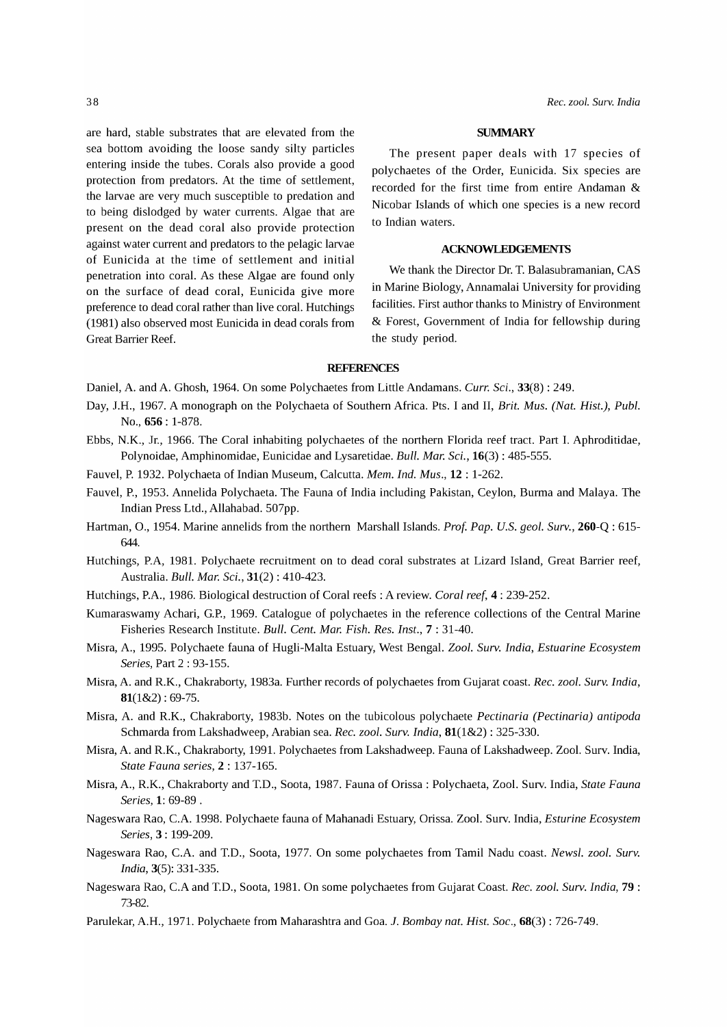are hard, stable substrates that are elevated from the sea bottom avoiding the loose sandy silty particles entering inside the tubes. Corals also provide a good protection from predators. At the time of settlement, the larvae are very much susceptible to predation and to being dislodged by water currents. Algae that are present on the dead coral also provide protection against water current and predators to the pelagic larvae of Eunicida at the time of settlement and initial penetration into coral. As these Algae are found only on the surface of dead coral, Eunicida give more preference to dead coral rather than live coral. Hutchings (1981) also observed most Eunicida in dead corals from Great Barrier Reef.

#### **SUMMARY**

The present paper deals with 17 species of polychaetes of the Order, Eunicida. Six species are recorded for the first time from entire Andaman & Nicobar Islands of which one species is a new record to Indian waters.

## **ACKNOWLEDGEMENTS**

We thank the Director Dr. T. Balasubramanian, CAS in Marine Biology, Annamalai University for providing facilities. First author thanks to Ministry of Environment & Forest, Government of India for fellowship during the study period.

### **REFERENCES**

- Daniel, A. and A. Ghosh, 1964. On some Polychaetes from Little Andamans. *Curr. Sci.,* 33(8) : 249.
- Day, J.H., 1967. A monograph on the Polychaeta of Southern Africa. Pts. I and II, *Brit. Mus. (Nat. Hist.), Publ.* No., 656 : 1-878.
- Ebbs, N.K., Jr., 1966. The Coral inhabiting polychaetes of the northern Florida reef tract. Part 1. Aphroditidae, Polynoidae, Amphinomidae, Eunicidae and Lysaretidae. *Bull. Mar. Sci.,* 16(3) : 485-555.
- Fauvel, P. 1932. Polychaeta of Indian Museum, Calcutta. *Mem. Ind. Mus.,* 12 : 1-262.
- Fauvel, P., 1953. Annelida Polychaeta. The Fauna of India including Pakistan, Ceylon, Burma and Malaya. The Indian Press Ltd., Allahabad. 507pp.
- Hartman, 0., 1954. Marine annelids from the northern Marshall Islands. *Prof. Pap. U.S. geol. Surv.,* 260-Q : 615- 644.
- Hutchings, P.A, 1981. Polychaete recruitment on to dead coral substrates at Lizard Island, Great Barrier reef, Australia. *Bull. Mar. Sci.,* 31(2) : 410-423.
- Hutchings, P.A., 1986. Biological destruction of Coral reefs: A review. *Coral reef,* 4: 239-252.
- Kumaraswamy Achari, G.P., 1969. Catalogue of polychaetes in the reference collections of the Central Marine Fisheries Research Institute. *Bull. Cent. Mar. Fish. Res. Inst.,* 7 : 31-40.
- Misra, A., 1995. Polychaete fauna of Hugli-Malta Estuary, West Bengal. *Zool. Surv. India, Estuarine Ecosystem Series,* Part 2 : 93-155.
- Misra, A. and R.K., Chakraborty, 1983a. Further records of polychaetes from Gujarat coast. *Rec. zool. Surv. India,*   $81(182): 69-75.$
- Misra, A. and R.K., Chakraborty, 1983b. Notes on the tubicolous polychaete *Pectinaria (Pectinaria) antipoda*  Schmarda from Lakshadweep, Arabian sea. *Rec. zool. Surv. India,* 81(1&2) : 325-330.
- Misra, A. and R.K., Chakraborty, 1991. Polychaetes from Lakshadweep. Fauna of Lakshadweep. Zool. Surv. India, *State Fauna series,* 2 : 137-165.
- Misra, A., R.K., Chakraborty and T.D., Soota, 1987. Fauna of Orissa: Polychaeta, Zool. Surv. India, *State Fauna Series,* 1: 69-89 .
- Nageswara Rao, C.A. 1998. Polychaete fauna of Mahanadi Estuary, Orissa. Zool. Surv. India, *Esturine Ecosystem Series,* 3: 199-209.
- Nageswara Rao, C.A. and T.D., Soota, 1977. On some polychaetes from Tamil Nadu coast. *Newsl. zool. Surv. India,* 3(5): 331-335.
- Nageswara Rao, C.A and T.D., Soota, 1981. On some polychaetes from Gujarat Coast. *Rec. zool. Surv. India,* 79 : 73-82.
- Parulekar, A.H., 1971. Polychaete from Maharashtra and Goa. 1. *Bombay nat. Rist. Soc.,* 68(3) : 726-749.